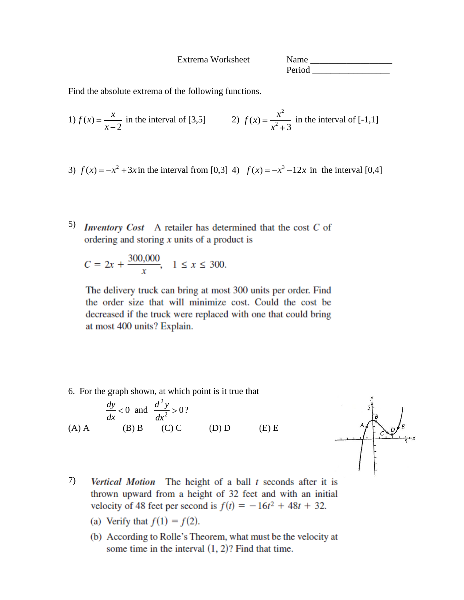Extrema Worksheet Name \_\_\_\_\_\_\_\_\_\_\_\_\_\_\_\_\_\_ Period  $\Box$ 

Find the absolute extrema of the following functions.

1) 
$$
f(x) = \frac{x}{x-2}
$$
 in the interval of [3,5]   
2)  $f(x) = \frac{x^2}{x^2+3}$  in the interval of [-1,1]

- 3)  $f(x) = -x^2 + 3x$  in the interval from [0,3] 4)  $f(x) = -x^3 12x$  in the interval [0,4]
- 5) **Inventory** Cost A retailer has determined that the cost  $C$  of ordering and storing  $x$  units of a product is

$$
C = 2x + \frac{300,000}{x}, \quad 1 \le x \le 300.
$$

The delivery truck can bring at most 300 units per order. Find the order size that will minimize cost. Could the cost be decreased if the truck were replaced with one that could bring at most 400 units? Explain.

6. For the graph shown, at which point is it true that

(A) A 
$$
\frac{dy}{dx} < 0
$$
 and  $\frac{d^2y}{dx^2} > 0$ ?  
(A) A (B) B (C) C (D) D (E) E



- 7) Vertical Motion The height of a ball t seconds after it is thrown upward from a height of 32 feet and with an initial velocity of 48 feet per second is  $f(t) = -16t^2 + 48t + 32$ .
	- (a) Verify that  $f(1) = f(2)$ .
	- (b) According to Rolle's Theorem, what must be the velocity at some time in the interval  $(1, 2)$ ? Find that time.